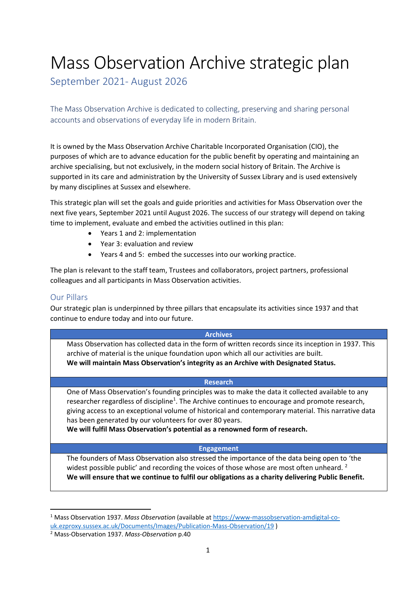# Mass Observation Archive strategic plan

September 2021- August 2026

The Mass Observation Archive is dedicated to collecting, preserving and sharing personal accounts and observations of everyday life in modern Britain.

It is owned by the Mass Observation Archive Charitable Incorporated Organisation (CIO), the purposes of which are to advance education for the public benefit by operating and maintaining an archive specialising, but not exclusively, in the modern social history of Britain. The Archive is supported in its care and administration by the University of Sussex Library and is used extensively by many disciplines at Sussex and elsewhere.

This strategic plan will set the goals and guide priorities and activities for Mass Observation over the next five years, September 2021 until August 2026. The success of our strategy will depend on taking time to implement, evaluate and embed the activities outlined in this plan:

- Years 1 and 2: implementation
- Year 3: evaluation and review
- Years 4 and 5: embed the successes into our working practice.

The plan is relevant to the staff team, Trustees and collaborators, project partners, professional colleagues and all participants in Mass Observation activities.

#### Our Pillars

Our strategic plan is underpinned by three pillars that encapsulate its activities since 1937 and that continue to endure today and into our future.

#### **Archives**

Mass Observation has collected data in the form of written records since its inception in 1937. This archive of material is the unique foundation upon which all our activities are built. **We will maintain Mass Observation's integrity as an Archive with Designated Status.**

#### **Research**

One of Mass Observation's founding principles was to make the data it collected available to any researcher regardless of discipline<sup>1</sup>. The Archive continues to encourage and promote research, giving access to an exceptional volume of historical and contemporary material. This narrative data has been generated by our volunteers for over 80 years.

**We will fulfil Mass Observation's potential as a renowned form of research.** 

#### **Engagement**

The founders of Mass Observation also stressed the importance of the data being open to 'the widest possible public' and recording the voices of those whose are most often unheard.<sup>2</sup> **We will ensure that we continue to fulfil our obligations as a charity delivering Public Benefit.** 

<sup>1</sup> Mass Observation 1937. *Mass Observation* (available at [https://www-massobservation-amdigital-co-](https://www-massobservation-amdigital-co-uk.ezproxy.sussex.ac.uk/Documents/Images/Publication-Mass-Observation/19)

[uk.ezproxy.sussex.ac.uk/Documents/Images/Publication-Mass-Observation/19](https://www-massobservation-amdigital-co-uk.ezproxy.sussex.ac.uk/Documents/Images/Publication-Mass-Observation/19) )

<sup>2</sup> Mass-Observation 1937. *Mass-Observation* p.40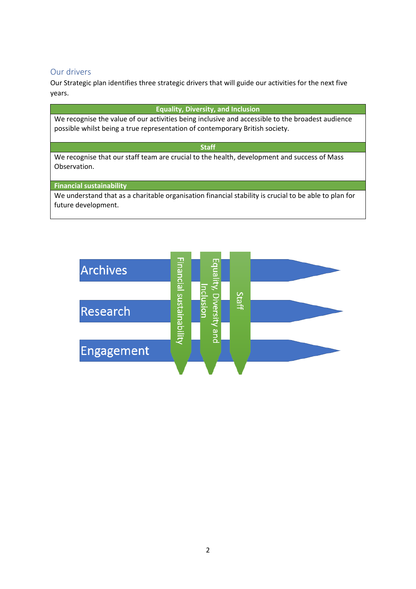#### Our drivers

Our Strategic plan identifies three strategic drivers that will guide our activities for the next five years.

#### **Equality, Diversity, and Inclusion**

We recognise the value of our activities being inclusive and accessible to the broadest audience possible whilst being a true representation of contemporary British society.

#### **Staff**

We recognise that our staff team are crucial to the health, development and success of Mass Observation.

#### **Financial sustainability**

We understand that as a charitable organisation financial stability is crucial to be able to plan for future development.

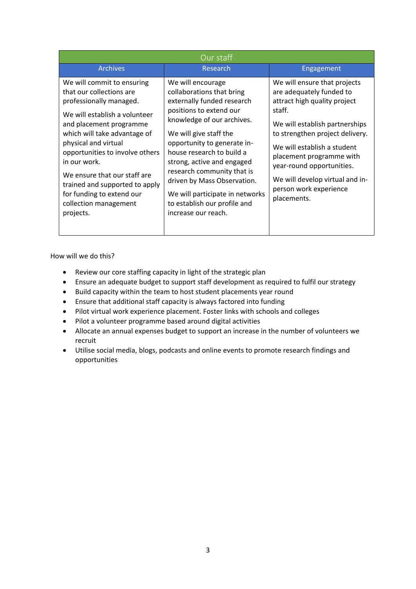| Our staff                                                                                                                                                                                                                                                                                                                                                                                     |                                                                                                                                                                                                                                                                                                                                                                                                                  |                                                                                                                                                                                                                                                                                                                                             |  |  |  |  |  |  |
|-----------------------------------------------------------------------------------------------------------------------------------------------------------------------------------------------------------------------------------------------------------------------------------------------------------------------------------------------------------------------------------------------|------------------------------------------------------------------------------------------------------------------------------------------------------------------------------------------------------------------------------------------------------------------------------------------------------------------------------------------------------------------------------------------------------------------|---------------------------------------------------------------------------------------------------------------------------------------------------------------------------------------------------------------------------------------------------------------------------------------------------------------------------------------------|--|--|--|--|--|--|
| <b>Archives</b>                                                                                                                                                                                                                                                                                                                                                                               | Research                                                                                                                                                                                                                                                                                                                                                                                                         | Engagement                                                                                                                                                                                                                                                                                                                                  |  |  |  |  |  |  |
| We will commit to ensuring<br>that our collections are<br>professionally managed.<br>We will establish a volunteer<br>and placement programme<br>which will take advantage of<br>physical and virtual<br>opportunities to involve others<br>in our work.<br>We ensure that our staff are<br>trained and supported to apply<br>for funding to extend our<br>collection management<br>projects. | We will encourage<br>collaborations that bring<br>externally funded research<br>positions to extend our<br>knowledge of our archives.<br>We will give staff the<br>opportunity to generate in-<br>house research to build a<br>strong, active and engaged<br>research community that is<br>driven by Mass Observation.<br>We will participate in networks<br>to establish our profile and<br>increase our reach. | We will ensure that projects<br>are adequately funded to<br>attract high quality project<br>staff.<br>We will establish partnerships<br>to strengthen project delivery.<br>We will establish a student<br>placement programme with<br>year-round opportunities.<br>We will develop virtual and in-<br>person work experience<br>placements. |  |  |  |  |  |  |

How will we do this?

- Review our core staffing capacity in light of the strategic plan
- Ensure an adequate budget to support staff development as required to fulfil our strategy
- Build capacity within the team to host student placements year round
- Ensure that additional staff capacity is always factored into funding
- Pilot virtual work experience placement. Foster links with schools and colleges
- Pilot a volunteer programme based around digital activities
- Allocate an annual expenses budget to support an increase in the number of volunteers we recruit
- Utilise social media, blogs, podcasts and online events to promote research findings and opportunities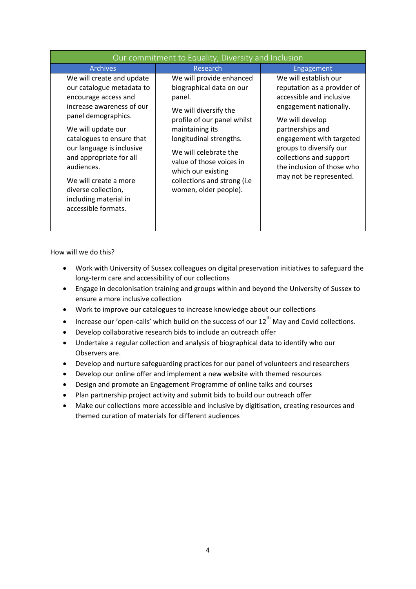| Our commitment to Equality, Diversity and Inclusion                                                                                                                                                                                                                                                                                                         |                                                                                                                                                                                                                                                                                                         |                                                                                                                                                                                                                                                                                              |  |  |  |  |  |  |
|-------------------------------------------------------------------------------------------------------------------------------------------------------------------------------------------------------------------------------------------------------------------------------------------------------------------------------------------------------------|---------------------------------------------------------------------------------------------------------------------------------------------------------------------------------------------------------------------------------------------------------------------------------------------------------|----------------------------------------------------------------------------------------------------------------------------------------------------------------------------------------------------------------------------------------------------------------------------------------------|--|--|--|--|--|--|
| <b>Archives</b>                                                                                                                                                                                                                                                                                                                                             | Research                                                                                                                                                                                                                                                                                                | Engagement                                                                                                                                                                                                                                                                                   |  |  |  |  |  |  |
| We will create and update<br>our catalogue metadata to<br>encourage access and<br>increase awareness of our<br>panel demographics.<br>We will update our<br>catalogues to ensure that<br>our language is inclusive<br>and appropriate for all<br>audiences.<br>We will create a more<br>diverse collection,<br>including material in<br>accessible formats. | We will provide enhanced<br>biographical data on our<br>panel.<br>We will diversify the<br>profile of our panel whilst<br>maintaining its<br>longitudinal strengths.<br>We will celebrate the<br>value of those voices in<br>which our existing<br>collections and strong (i.e<br>women, older people). | We will establish our<br>reputation as a provider of<br>accessible and inclusive<br>engagement nationally.<br>We will develop<br>partnerships and<br>engagement with targeted<br>groups to diversify our<br>collections and support<br>the inclusion of those who<br>may not be represented. |  |  |  |  |  |  |

How will we do this?

- Work with University of Sussex colleagues on digital preservation initiatives to safeguard the long-term care and accessibility of our collections
- Engage in decolonisation training and groups within and beyond the University of Sussex to ensure a more inclusive collection
- Work to improve our catalogues to increase knowledge about our collections
- Increase our 'open-calls' which build on the success of our  $12^{th}$  May and Covid collections.
- Develop collaborative research bids to include an outreach offer
- Undertake a regular collection and analysis of biographical data to identify who our Observers are.
- Develop and nurture safeguarding practices for our panel of volunteers and researchers
- Develop our online offer and implement a new website with themed resources
- Design and promote an Engagement Programme of online talks and courses
- Plan partnership project activity and submit bids to build our outreach offer
- Make our collections more accessible and inclusive by digitisation, creating resources and themed curation of materials for different audiences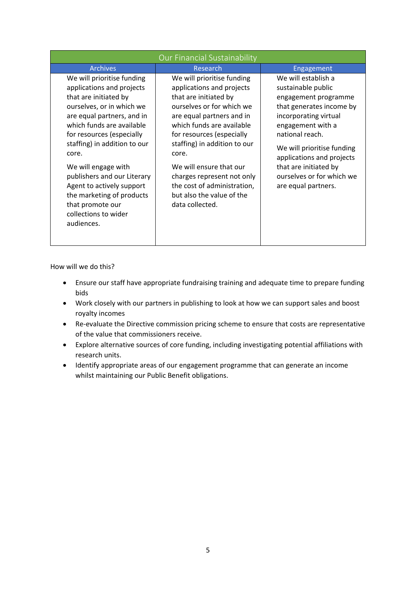| Our Financial Sustainability                                                                                                                                                                                                                                                                                                                                                                                             |                                                                                                                                                                                                                                                                                                                                                                                       |                                                                                                                                                                                                                                                                                                        |  |  |  |  |  |
|--------------------------------------------------------------------------------------------------------------------------------------------------------------------------------------------------------------------------------------------------------------------------------------------------------------------------------------------------------------------------------------------------------------------------|---------------------------------------------------------------------------------------------------------------------------------------------------------------------------------------------------------------------------------------------------------------------------------------------------------------------------------------------------------------------------------------|--------------------------------------------------------------------------------------------------------------------------------------------------------------------------------------------------------------------------------------------------------------------------------------------------------|--|--|--|--|--|
| <b>Archives</b>                                                                                                                                                                                                                                                                                                                                                                                                          | Research                                                                                                                                                                                                                                                                                                                                                                              | Engagement                                                                                                                                                                                                                                                                                             |  |  |  |  |  |
| We will prioritise funding<br>applications and projects<br>that are initiated by<br>ourselves, or in which we<br>are equal partners, and in<br>which funds are available<br>for resources (especially<br>staffing) in addition to our<br>core.<br>We will engage with<br>publishers and our Literary<br>Agent to actively support<br>the marketing of products<br>that promote our<br>collections to wider<br>audiences. | We will prioritise funding<br>applications and projects<br>that are initiated by<br>ourselves or for which we<br>are equal partners and in<br>which funds are available<br>for resources (especially<br>staffing) in addition to our<br>core.<br>We will ensure that our<br>charges represent not only<br>the cost of administration,<br>but also the value of the<br>data collected. | We will establish a<br>sustainable public<br>engagement programme<br>that generates income by<br>incorporating virtual<br>engagement with a<br>national reach.<br>We will prioritise funding<br>applications and projects<br>that are initiated by<br>ourselves or for which we<br>are equal partners. |  |  |  |  |  |

How will we do this?

- Ensure our staff have appropriate fundraising training and adequate time to prepare funding bids
- Work closely with our partners in publishing to look at how we can support sales and boost royalty incomes
- Re-evaluate the Directive commission pricing scheme to ensure that costs are representative of the value that commissioners receive.
- Explore alternative sources of core funding, including investigating potential affiliations with research units.
- Identify appropriate areas of our engagement programme that can generate an income whilst maintaining our Public Benefit obligations.